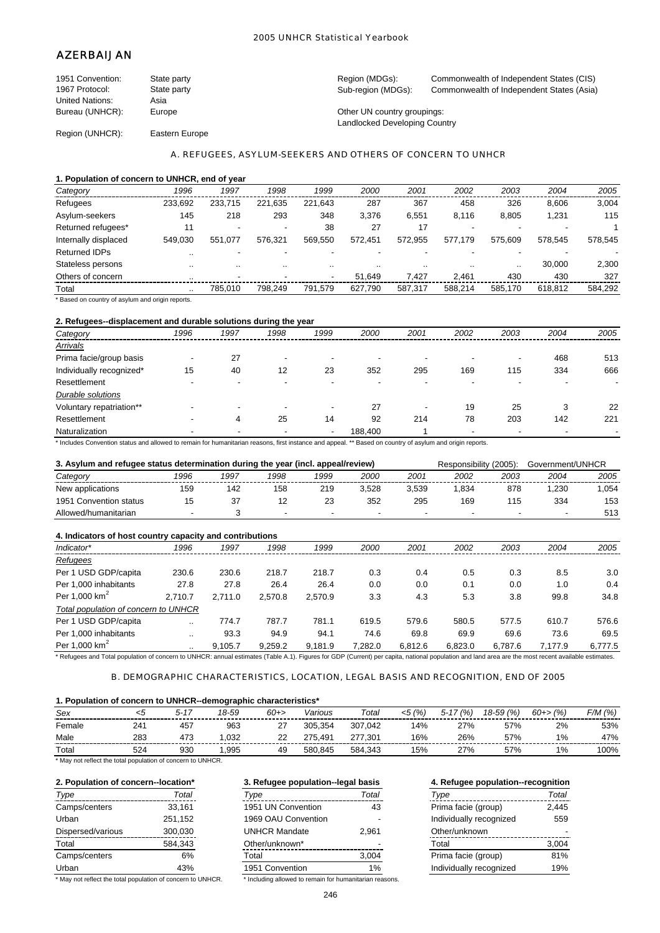# AZERBAIJAN

| 1951 Convention: | State party    | Region (MDGs):                | Commonwealth of Independent States (CIS)  |
|------------------|----------------|-------------------------------|-------------------------------------------|
| 1967 Protocol:   | State party    | Sub-region (MDGs):            | Commonwealth of Independent States (Asia) |
| United Nations:  | Asia           |                               |                                           |
| Bureau (UNHCR):  | Europe         | Other UN country groupings:   |                                           |
|                  |                | Landlocked Developing Country |                                           |
| Region (UNHCR):  | Eastern Europe |                               |                                           |

#### A. REFUGEES, ASYLUM-SEEKERS AND OTHERS OF CONCERN TO UNHCR

#### **1. Population of concern to UNHCR, end of year**

| Category             | 1996      | 1997                     | 1998                     | 1999    | 2000    | 2001    | 2002    | 2003    | 2004    | 2005    |
|----------------------|-----------|--------------------------|--------------------------|---------|---------|---------|---------|---------|---------|---------|
| Refugees             | 233.692   | 233.715                  | 221.635                  | 221.643 | 287     | 367     | 458     | 326     | 8.606   | 3,004   |
| Asylum-seekers       | 145       | 218                      | 293                      | 348     | 3.376   | 6.551   | 8.116   | 8.805   | 1,231   | 115     |
| Returned refugees*   | 11        | $\overline{\phantom{a}}$ | $\overline{\phantom{a}}$ | 38      | 27      | 17      |         |         |         |         |
| Internally displaced | 549.030   | 551.077                  | 576.321                  | 569.550 | 572.451 | 572.955 | 577.179 | 575.609 | 578.545 | 578,545 |
| <b>Returned IDPs</b> |           |                          |                          |         |         |         |         |         |         |         |
| Stateless persons    |           |                          | $\sim$                   |         |         |         | $\sim$  |         | 30,000  | 2,300   |
| Others of concern    | $\cdot$ . | $\overline{\phantom{a}}$ |                          | -       | 51.649  | 7.427   | 2.461   | 430     | 430     | 327     |
| Total                |           | 785.010                  | 798.249                  | 791.579 | 627.790 | 587.317 | 588.214 | 585.170 | 618.812 | 584,292 |

\* Based on country of asylum and origin reports.

## **2. Refugees--displacement and durable solutions during the year**

| Category                 | 1996 | 1997                     | 1998                     | 1999                     | 2000    | 2001 | 2002 | 2003 | 2004 | 2005 |
|--------------------------|------|--------------------------|--------------------------|--------------------------|---------|------|------|------|------|------|
| Arrivals                 |      |                          |                          |                          |         |      |      |      |      |      |
| Prima facie/group basis  | -    | 27                       | $\overline{\phantom{a}}$ |                          |         |      |      | -    | 468  | 513  |
| Individually recognized* | 15   | 40                       | 12                       | 23                       | 352     | 295  | 169  | 115  | 334  | 666  |
| Resettlement             |      | $\overline{\phantom{a}}$ | -                        |                          |         |      |      |      |      |      |
| Durable solutions        |      |                          |                          |                          |         |      |      |      |      |      |
| Voluntary repatriation** |      | $\overline{\phantom{a}}$ | $\overline{\phantom{a}}$ | $\,$                     | 27      | ۰    | 19   | 25   | 3    | 22   |
| Resettlement             |      | 4                        | 25                       | 14                       | 92      | 214  | 78   | 203  | 142  | 221  |
| Naturalization           |      | -                        |                          | $\overline{\phantom{a}}$ | 188,400 |      |      |      |      |      |

\* Includes Convention status and allowed to remain for humanitarian reasons, first instance and appeal. \*\* Based on country of asylum and origin reports.

|                        | 3. Asylum and refugee status determination during the year (incl. appeal/review) |      |                          |      |       |       |                          |                          | Government/UNHCR |      |
|------------------------|----------------------------------------------------------------------------------|------|--------------------------|------|-------|-------|--------------------------|--------------------------|------------------|------|
| Category               | 1996                                                                             | 1997 | 1998                     | 1999 | 2000  | 2001  | 2002                     | 2003                     | 2004             | 2005 |
| New applications       | 159                                                                              | 142  | 158                      | 219  | 3.528 | 3.539 | .834                     | 878                      | .230             | .054 |
| 1951 Convention status |                                                                                  |      |                          | 23   | 352   | 295   | 169                      |                          | 334              | 153  |
| Allowed/humanitarian   |                                                                                  |      | $\overline{\phantom{0}}$ |      |       |       | $\overline{\phantom{0}}$ | $\overline{\phantom{a}}$ |                  | 513  |

| 4. Indicators of host country capacity and contributions                                                                                                                                                                       |           |         |         |         |         |         |         |         |         |         |
|--------------------------------------------------------------------------------------------------------------------------------------------------------------------------------------------------------------------------------|-----------|---------|---------|---------|---------|---------|---------|---------|---------|---------|
| Indicator*                                                                                                                                                                                                                     | 1996      | 1997    | 1998    | 1999    | 2000    | 2001    | 2002    | 2003    | 2004    | 2005    |
| Refugees                                                                                                                                                                                                                       |           |         |         |         |         |         |         |         |         |         |
| Per 1 USD GDP/capita                                                                                                                                                                                                           | 230.6     | 230.6   | 218.7   | 218.7   | 0.3     | 0.4     | 0.5     | 0.3     | 8.5     | 3.0     |
| Per 1.000 inhabitants                                                                                                                                                                                                          | 27.8      | 27.8    | 26.4    | 26.4    | 0.0     | 0.0     | 0.1     | 0.0     | 1.0     | 0.4     |
| Per 1.000 $km2$                                                                                                                                                                                                                | 2.710.7   | 2.711.0 | 2.570.8 | 2.570.9 | 3.3     | 4.3     | 5.3     | 3.8     | 99.8    | 34.8    |
| Total population of concern to UNHCR                                                                                                                                                                                           |           |         |         |         |         |         |         |         |         |         |
| Per 1 USD GDP/capita                                                                                                                                                                                                           | $\cdot$ . | 774.7   | 787.7   | 781.1   | 619.5   | 579.6   | 580.5   | 577.5   | 610.7   | 576.6   |
| Per 1.000 inhabitants                                                                                                                                                                                                          |           | 93.3    | 94.9    | 94.1    | 74.6    | 69.8    | 69.9    | 69.6    | 73.6    | 69.5    |
| Per 1,000 $km2$                                                                                                                                                                                                                | $\cdot$ . | 9.105.7 | 9.259.2 | 9.181.9 | 7.282.0 | 6.812.6 | 6.823.0 | 6.787.6 | 7.177.9 | 6,777.5 |
| * But a construction of the construction of construction of the AND Proceeding Advanced Advanced Construction of the first construction of the construction of the construction of the construction of the construction of the |           |         |         |         |         |         |         |         |         |         |

Refugees and Total population of concern to UNHCR: annual estimates (Table A.1). Figures for GDP (Current) per capita, national population and land area are the most recent available estimates.

#### B. DEMOGRAPHIC CHARACTERISTICS, LOCATION, LEGAL BASIS AND RECOGNITION, END OF 2005

### **1. Population of concern to UNHCR--demographic characteristics\***

| Sex    |     | $5 - 1$ | 18-59 | $60+$         | Various     | Total   | (% )<br><5 | $^{\cdot}$ (% ,<br>$5 - 17$ | 18-59 (%) | 60+> (%) | F/M (%) |
|--------|-----|---------|-------|---------------|-------------|---------|------------|-----------------------------|-----------|----------|---------|
| Female | 24' | 457     | 963   | ົ<br><u>_</u> | 305.354     | 307.042 | 14%        | 27%                         | 57%       | 2%       | 53%     |
| Male   | 283 | 473     | .032  | 22            | 491.<br>275 | 277.301 | 16%        | 26%                         | 57%       | $1\%$    | 47%     |
| Total  | 524 | 930     | .995  | 49            | 580.845     | 584.343 | 15%        | 27%                         | 57%       | 1%       | 100%    |

\* May not reflect the total population of concern to UNHCR.

| Type              | Total   | Type                 | Total | Type                    | Total |
|-------------------|---------|----------------------|-------|-------------------------|-------|
| Camps/centers     | 33.161  | 1951 UN Convention   | 43    | Prima facie (group)     | 2,445 |
| Urban             | 251.152 | 1969 OAU Convention  |       | Individually recognized | 559   |
| Dispersed/various | 300.030 | <b>UNHCR Mandate</b> | 2.961 | Other/unknown           |       |
| Total             | 584.343 | Other/unknown*       |       | Total                   | 3.004 |
| Camps/centers     | 6%      | Total                | 3,004 | Prima facie (group)     | 81%   |
| Urban             | 43%     | 1951 Convention      | $1\%$ | Individually recognized | 19%   |

\* May not reflect the total population of concern to UNHCR. \* Including allowed to remain for humanitarian reasons.

**2. Population of concern--location\* 3. Refugee population--legal basis 4. Refugee population--recognition** Camps/centers 33,161 1951 UN Convention 43 Prima facie (group) 2,445 1969 OAU Convention -UNHCR Mandate 2.961 Other/unknown\* 1951 Convention 1%

| Type                    | Total |
|-------------------------|-------|
| Prima facie (group)     | 2.445 |
| Individually recognized | 559   |
| Other/unknown           |       |
| Total                   | 3,004 |
| Prima facie (group)     | 81%   |
| Individually recognized | 19%   |